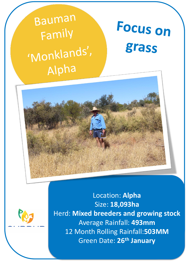Bauman **Focus on** Family grass 'Monklands', Alpha



Location: **Alpha** Size: **18,093ha**  Herd: **Mixed breeders and growing stock** Average Rainfall: **493mm** 12 Month Rolling Rainfall:**503MM** Green Date: **26th January**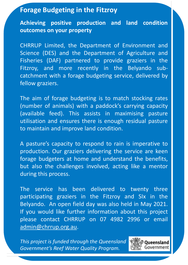# **Forage Budgeting in the Fitzroy**

**Achieving positive production and land condition outcomes on your property**

CHRRUP Limited, the Department of Environment and Science (DES) and the Department of Agriculture and Fisheries (DAF) partnered to provide graziers in the Fitzroy, and more recently in the Belyando subcatchment with a forage budgeting service, delivered by fellow graziers.

The aim of forage budgeting is to match stocking rates (number of animals) with a paddock's carrying capacity (available feed). This assists in maximising pasture utilisation and ensures there is enough residual pasture to maintain and improve land condition.

A pasture's capacity to respond to rain is imperative to production. Our graziers delivering the service are keen forage budgeters at home and understand the benefits, but also the challenges involved, acting like a mentor during this process.

The service has been delivered to twenty three participating graziers in the Fitzroy and SIx in the Belyando. An open field day was also held in May 2021. If you would like further information about this project please contact CHRRUP on 07 4982 2996 or email [admin@chrrup.org.au.](mailto:admin@chrrup.org.au)

*This project is funded through the Queensland Government's Reef Water Quality Program.*

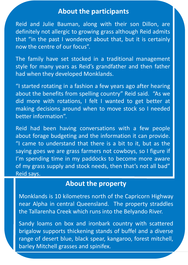### **About the participants**

Reid and Julie Bauman, along with their son Dillon, are definitely not allergic to growing grass although Reid admits that "in the past I wondered about that, but it is certainly now the centre of our focus".

The family have set stocked in a traditional management style for many years as Reid's grandfather and then father had when they developed Monklands.

"I started rotating in a fashion a few years ago after hearing about the benefits from spelling country" Reid said. "As we did more with rotations, I felt I wanted to get better at making decisions around when to move stock so I needed better information".

Reid had been having conversations with a few people about forage budgeting and the information it can provide. "I came to understand that there is a bit to it, but as the saying goes we are grass farmers not cowboys, so I figure if I'm spending time in my paddocks to become more aware of my grass supply and stock needs, then that's not all bad" Reid says.

### **About the property**

Monklands is 10 kilometres north of the Capricorn Highway near Alpha in central Queensland. The property straddles the Tallarenha Creek which runs into the Belyando River.

Sandy loams on box and ironbark country with scattered brigalow supports thickening stands of buffel and a diverse range of desert blue, black spear, kangaroo, forest mitchell, barley Mitchell grasses and spinifex.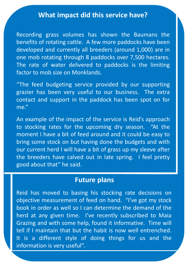# **What impact did this service have?**

Recording grass volumes has shown the Baumans the benefits of rotating cattle. A few more paddocks have been developed and currently all breeders (around 1,000) are in one mob rotating through 8 paddocks over 7,500 hectares. The rate of water delivered to paddocks is the limiting factor to mob size on Monklands.

"The feed budgeting service provided by our supporting grazier has been very useful to our business. The extra contact and support in the paddock has been spot on for me."

An example of the impact of the service is Reid's approach to stocking rates for the upcoming dry season. "At the moment I have a bit of feed around and it could be easy to bring some stock on but having done the budgets and with our current herd I will have a bit of grass up my sleeve after the breeders have calved out in late spring. I feel pretty good about that" he said.

# **Future plans**

Reid has moved to basing his stocking rate decisions on objective measurement of feed on hand. "I've got my stock book in order as well so I can determine the demand of the herd at any given time. I've recently subscribed to Maia Grazing and with some help, found it informative. Time will tell if I maintain that but the habit is now well entrenched. It is a different style of doing things for us and the information is very useful".